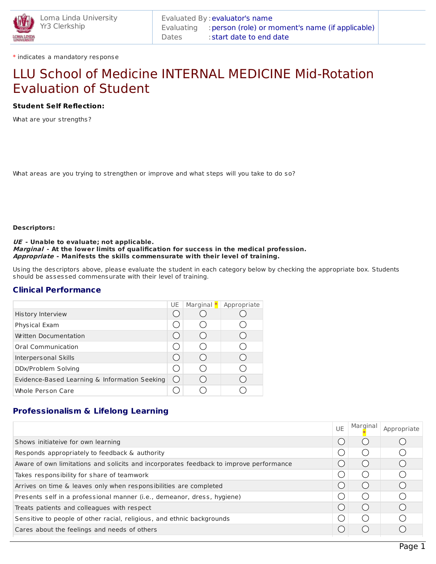

\* indicates a mandatory response

# LLU School of Medicine INTERNAL MEDICINE Mid-Rotation Evaluation of Student

## **Student Self Reflection:**

What are your strengths?

What areas are you trying to strengthen or improve and what steps will you take to do so?

### **Descriptors:**

#### **UE - Unable to evaluate; not applicable. Marginal - At the lower limits of qualification for success in the medical profession. Appropriate - Manifests the skills commensurate with their level of training.**

Using the descriptors above, please evaluate the student in each category below by checking the appropriate box. Students should be assessed commensurate with their level of training.

## **Clinical Performance**

|                                               | UE | Marginal $*$ Appropriate |
|-----------------------------------------------|----|--------------------------|
| History Interview                             |    |                          |
| Physical Exam                                 |    |                          |
| <b>Written Documentation</b>                  |    |                          |
| <b>Oral Communication</b>                     |    |                          |
| Interpersonal Skills                          |    |                          |
| DDx/Problem Solving                           |    |                          |
| Evidence-Based Learning & Information Seeking |    |                          |
| <b>Whole Person Care</b>                      |    |                          |

# **Professionalism & Lifelong Learning**

|                                                                                        | <b>UE</b> | Marginal | Appropriate |
|----------------------------------------------------------------------------------------|-----------|----------|-------------|
| Shows initiateive for own learning                                                     |           | $($ )    |             |
| Responds appropriately to feedback & authority                                         | . )       | $($ )    |             |
| Aware of own limitations and solicits and incorporates feedback to improve performance |           | $($ )    |             |
| Takes responsibility for share of teamwork                                             | - 1       | $($ )    |             |
| Arrives on time & leaves only when responsibilities are completed                      |           | $($ )    |             |
| Presents self in a professional manner (i.e., demeanor, dress, hygiene)                | - 1       | (        |             |
| Treats patients and colleagues with respect                                            | ( )       | (        |             |
| Sensitive to people of other racial, religious, and ethnic backgrounds                 | - 1       | $($ )    |             |
| Cares about the feelings and needs of others                                           |           | $( \ )$  |             |